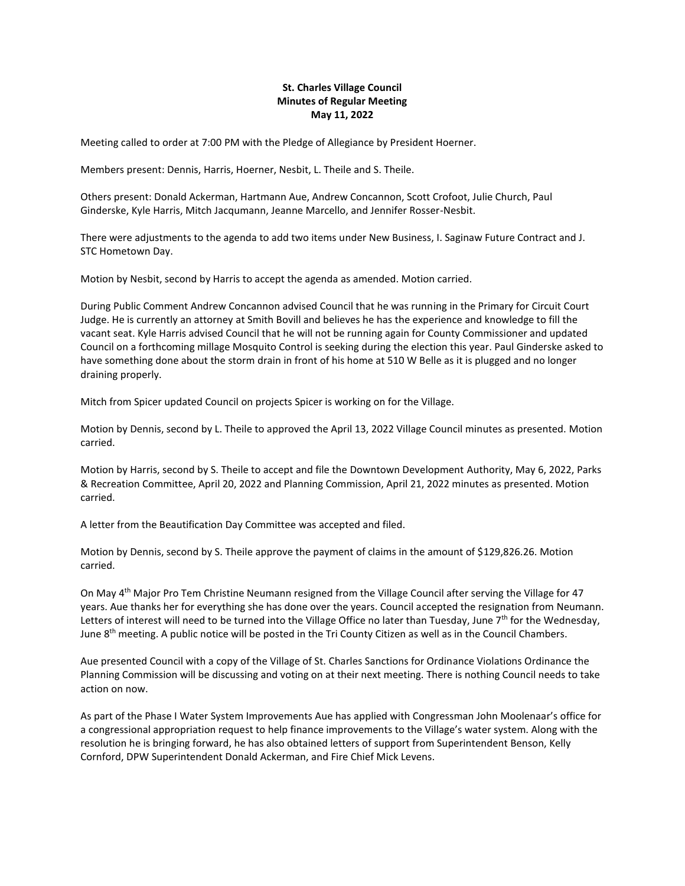## **St. Charles Village Council Minutes of Regular Meeting May 11, 2022**

Meeting called to order at 7:00 PM with the Pledge of Allegiance by President Hoerner.

Members present: Dennis, Harris, Hoerner, Nesbit, L. Theile and S. Theile.

Others present: Donald Ackerman, Hartmann Aue, Andrew Concannon, Scott Crofoot, Julie Church, Paul Ginderske, Kyle Harris, Mitch Jacqumann, Jeanne Marcello, and Jennifer Rosser-Nesbit.

There were adjustments to the agenda to add two items under New Business, I. Saginaw Future Contract and J. STC Hometown Day.

Motion by Nesbit, second by Harris to accept the agenda as amended. Motion carried.

During Public Comment Andrew Concannon advised Council that he was running in the Primary for Circuit Court Judge. He is currently an attorney at Smith Bovill and believes he has the experience and knowledge to fill the vacant seat. Kyle Harris advised Council that he will not be running again for County Commissioner and updated Council on a forthcoming millage Mosquito Control is seeking during the election this year. Paul Ginderske asked to have something done about the storm drain in front of his home at 510 W Belle as it is plugged and no longer draining properly.

Mitch from Spicer updated Council on projects Spicer is working on for the Village.

Motion by Dennis, second by L. Theile to approved the April 13, 2022 Village Council minutes as presented. Motion carried.

Motion by Harris, second by S. Theile to accept and file the Downtown Development Authority, May 6, 2022, Parks & Recreation Committee, April 20, 2022 and Planning Commission, April 21, 2022 minutes as presented. Motion carried.

A letter from the Beautification Day Committee was accepted and filed.

Motion by Dennis, second by S. Theile approve the payment of claims in the amount of \$129,826.26. Motion carried.

On May 4th Major Pro Tem Christine Neumann resigned from the Village Council after serving the Village for 47 years. Aue thanks her for everything she has done over the years. Council accepted the resignation from Neumann. Letters of interest will need to be turned into the Village Office no later than Tuesday, June  $7<sup>th</sup>$  for the Wednesday, June  $8<sup>th</sup>$  meeting. A public notice will be posted in the Tri County Citizen as well as in the Council Chambers.

Aue presented Council with a copy of the Village of St. Charles Sanctions for Ordinance Violations Ordinance the Planning Commission will be discussing and voting on at their next meeting. There is nothing Council needs to take action on now.

As part of the Phase I Water System Improvements Aue has applied with Congressman John Moolenaar's office for a congressional appropriation request to help finance improvements to the Village's water system. Along with the resolution he is bringing forward, he has also obtained letters of support from Superintendent Benson, Kelly Cornford, DPW Superintendent Donald Ackerman, and Fire Chief Mick Levens.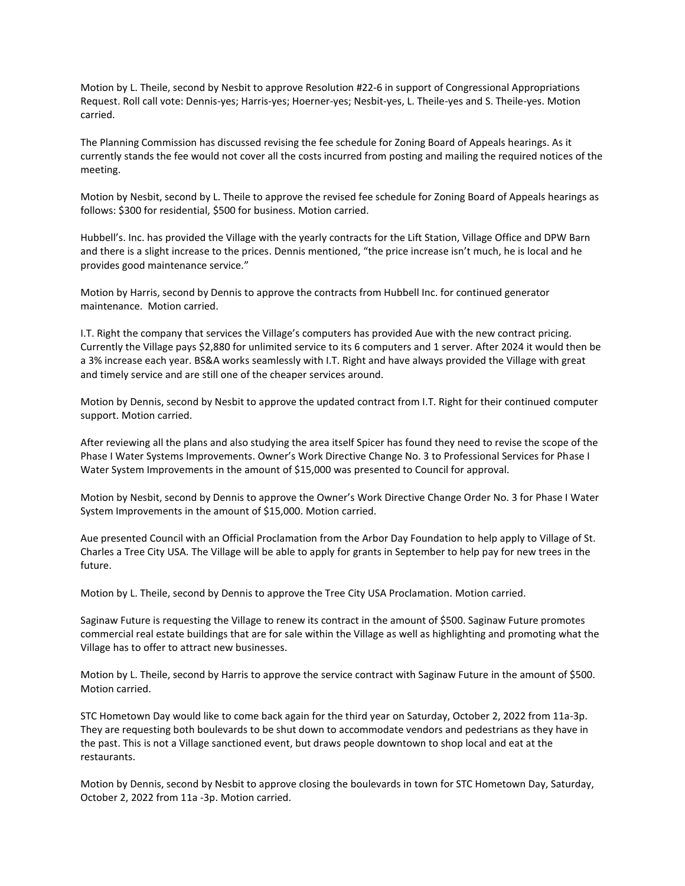Motion by L. Theile, second by Nesbit to approve Resolution #22-6 in support of Congressional Appropriations Request. Roll call vote: Dennis-yes; Harris-yes; Hoerner-yes; Nesbit-yes, L. Theile-yes and S. Theile-yes. Motion carried.

The Planning Commission has discussed revising the fee schedule for Zoning Board of Appeals hearings. As it currently stands the fee would not cover all the costs incurred from posting and mailing the required notices of the meeting.

Motion by Nesbit, second by L. Theile to approve the revised fee schedule for Zoning Board of Appeals hearings as follows: \$300 for residential, \$500 for business. Motion carried.

Hubbell's. Inc. has provided the Village with the yearly contracts for the Lift Station, Village Office and DPW Barn and there is a slight increase to the prices. Dennis mentioned, "the price increase isn't much, he is local and he provides good maintenance service."

Motion by Harris, second by Dennis to approve the contracts from Hubbell Inc. for continued generator maintenance. Motion carried.

I.T. Right the company that services the Village's computers has provided Aue with the new contract pricing. Currently the Village pays \$2,880 for unlimited service to its 6 computers and 1 server. After 2024 it would then be a 3% increase each year. BS&A works seamlessly with I.T. Right and have always provided the Village with great and timely service and are still one of the cheaper services around.

Motion by Dennis, second by Nesbit to approve the updated contract from I.T. Right for their continued computer support. Motion carried.

After reviewing all the plans and also studying the area itself Spicer has found they need to revise the scope of the Phase I Water Systems Improvements. Owner's Work Directive Change No. 3 to Professional Services for Phase I Water System Improvements in the amount of \$15,000 was presented to Council for approval.

Motion by Nesbit, second by Dennis to approve the Owner's Work Directive Change Order No. 3 for Phase I Water System Improvements in the amount of \$15,000. Motion carried.

Aue presented Council with an Official Proclamation from the Arbor Day Foundation to help apply to Village of St. Charles a Tree City USA. The Village will be able to apply for grants in September to help pay for new trees in the future.

Motion by L. Theile, second by Dennis to approve the Tree City USA Proclamation. Motion carried.

Saginaw Future is requesting the Village to renew its contract in the amount of \$500. Saginaw Future promotes commercial real estate buildings that are for sale within the Village as well as highlighting and promoting what the Village has to offer to attract new businesses.

Motion by L. Theile, second by Harris to approve the service contract with Saginaw Future in the amount of \$500. Motion carried.

STC Hometown Day would like to come back again for the third year on Saturday, October 2, 2022 from 11a-3p. They are requesting both boulevards to be shut down to accommodate vendors and pedestrians as they have in the past. This is not a Village sanctioned event, but draws people downtown to shop local and eat at the restaurants.

Motion by Dennis, second by Nesbit to approve closing the boulevards in town for STC Hometown Day, Saturday, October 2, 2022 from 11a -3p. Motion carried.